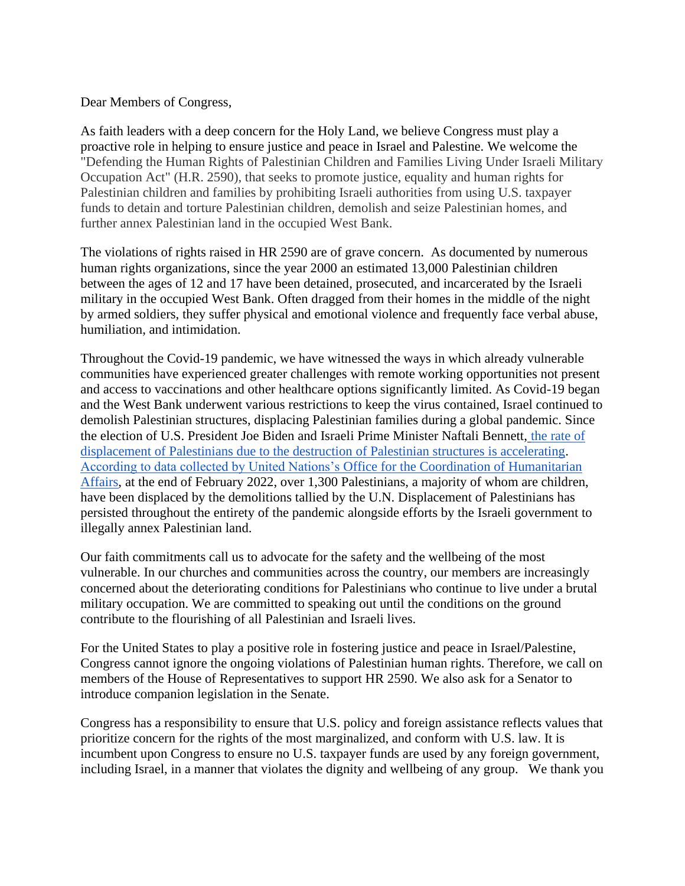Dear Members of Congress,

As faith leaders with a deep concern for the Holy Land, we believe Congress must play a proactive role in helping to ensure justice and peace in Israel and Palestine. We welcome the "Defending the Human Rights of Palestinian Children and Families Living Under Israeli Military Occupation Act" (H.R. 2590), that seeks to promote justice, equality and human rights for Palestinian children and families by prohibiting Israeli authorities from using U.S. taxpayer funds to detain and torture Palestinian children, demolish and seize Palestinian homes, and further annex Palestinian land in the occupied West Bank.

The violations of rights raised in HR 2590 are of grave concern. As documented by numerous human rights organizations, since the year 2000 an estimated 13,000 Palestinian children between the ages of 12 and 17 have been detained, prosecuted, and incarcerated by the Israeli military in the occupied West Bank. Often dragged from their homes in the middle of the night by armed soldiers, they suffer physical and emotional violence and frequently face verbal abuse, humiliation, and intimidation.

Throughout the Covid-19 pandemic, we have witnessed the ways in which already vulnerable communities have experienced greater challenges with remote working opportunities not present and access to vaccinations and other healthcare options significantly limited. As Covid-19 began and the West Bank underwent various restrictions to keep the virus contained, Israel continued to demolish Palestinian structures, displacing Palestinian families during a global pandemic. Since the election of U.S. President Joe Biden and Israeli Prime Minister Naftali Bennett, [the rate of](https://theintercept.com/2022/02/25/israel-palestine-west-bank-demolitions/)  [displacement of Palestinians due to the destruction of Palestinian structures is accelerating](https://theintercept.com/2022/02/25/israel-palestine-west-bank-demolitions/)[.](https://www.ochaopt.org/data/demolition) [According to data collected by United Nations's Office for the Coordination of Humanitarian](https://www.ochaopt.org/data/demolition)  [Affairs,](https://www.ochaopt.org/data/demolition) at the end of February 2022, over 1,300 Palestinians, a majority of whom are children, have been displaced by the demolitions tallied by the U.N. Displacement of Palestinians has persisted throughout the entirety of the pandemic alongside efforts by the Israeli government to illegally annex Palestinian land.

Our faith commitments call us to advocate for the safety and the wellbeing of the most vulnerable. In our churches and communities across the country, our members are increasingly concerned about the deteriorating conditions for Palestinians who continue to live under a brutal military occupation. We are committed to speaking out until the conditions on the ground contribute to the flourishing of all Palestinian and Israeli lives.

For the United States to play a positive role in fostering justice and peace in Israel/Palestine, Congress cannot ignore the ongoing violations of Palestinian human rights. Therefore, we call on members of the House of Representatives to support HR 2590. We also ask for a Senator to introduce companion legislation in the Senate.

Congress has a responsibility to ensure that U.S. policy and foreign assistance reflects values that prioritize concern for the rights of the most marginalized, and conform with U.S. law. It is incumbent upon Congress to ensure no U.S. taxpayer funds are used by any foreign government, including Israel, in a manner that violates the dignity and wellbeing of any group. We thank you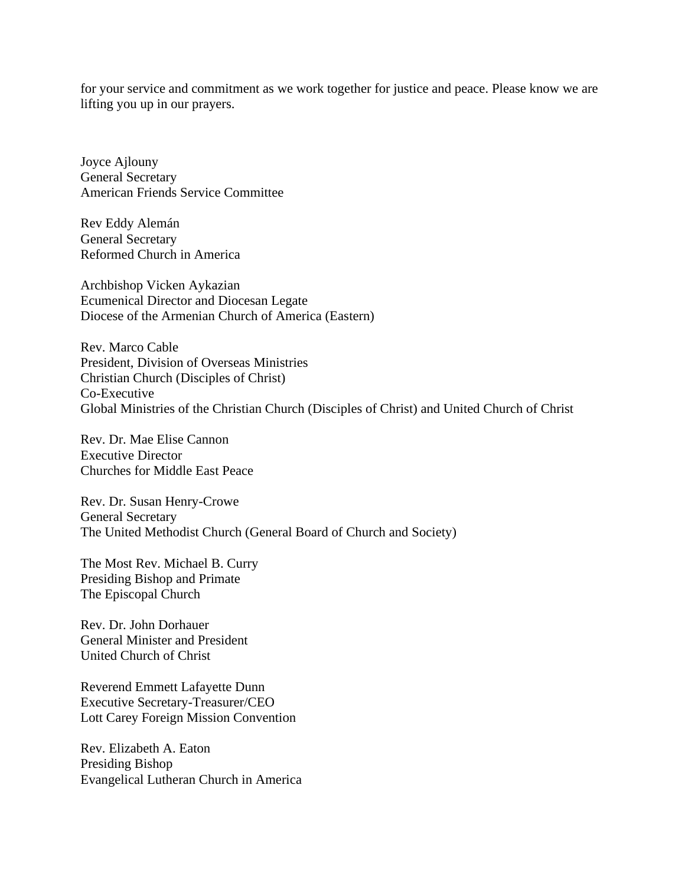for your service and commitment as we work together for justice and peace. Please know we are lifting you up in our prayers.

Joyce Ajlouny General Secretary American Friends Service Committee

Rev Eddy Alemán General Secretary Reformed Church in America

Archbishop Vicken Aykazian Ecumenical Director and Diocesan Legate Diocese of the Armenian Church of America (Eastern)

Rev. Marco Cable President, Division of Overseas Ministries Christian Church (Disciples of Christ) Co-Executive Global Ministries of the Christian Church (Disciples of Christ) and United Church of Christ

Rev. Dr. Mae Elise Cannon Executive Director Churches for Middle East Peace

Rev. Dr. Susan Henry-Crowe General Secretary The United Methodist Church (General Board of Church and Society)

The Most Rev. Michael B. Curry Presiding Bishop and Primate The Episcopal Church

Rev. Dr. John Dorhauer General Minister and President United Church of Christ

Reverend Emmett Lafayette Dunn Executive Secretary-Treasurer/CEO Lott Carey Foreign Mission Convention

Rev. Elizabeth A. Eaton Presiding Bishop Evangelical Lutheran Church in America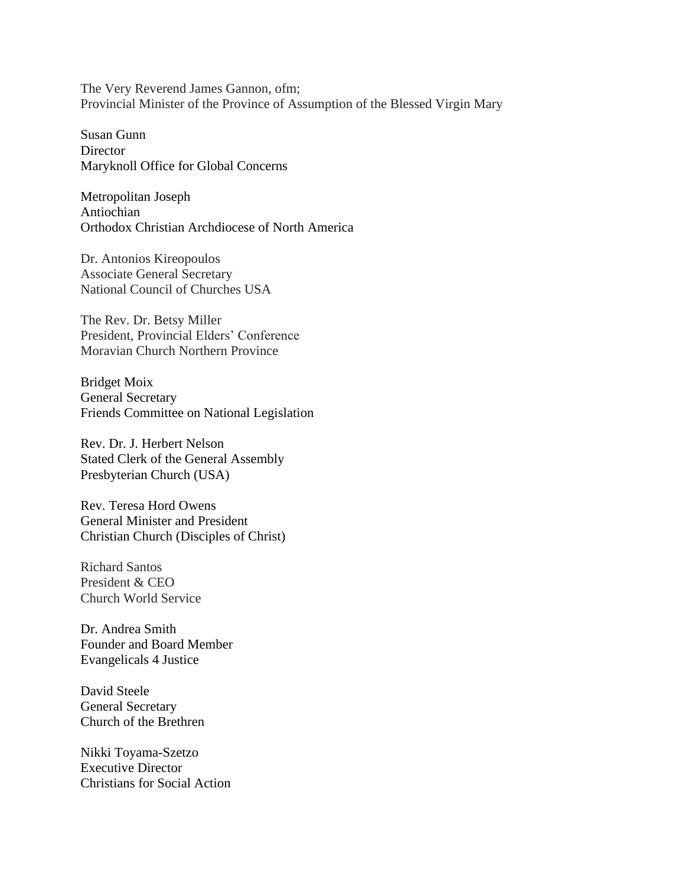The Very Reverend James Gannon, ofm; Provincial Minister of the Province of Assumption of the Blessed Virgin Mary

Susan Gunn **Director** Maryknoll Office for Global Concerns

Metropolitan Joseph Antiochian Orthodox Christian Archdiocese of North America

Dr. Antonios Kireopoulos Associate General Secretary National Council of Churches USA

The Rev. Dr. Betsy Miller President, Provincial Elders' Conference Moravian Church Northern Province

Bridget Moix General Secretary Friends Committee on National Legislation

Rev. Dr. J. Herbert Nelson Stated Clerk of the General Assembly Presbyterian Church (USA)

Rev. Teresa Hord Owens General Minister and President Christian Church (Disciples of Christ)

Richard Santos President & CEO Church World Service

Dr. Andrea Smith Founder and Board Member Evangelicals 4 Justice

David Steele General Secretary Church of the Brethren

Nikki Toyama-Szetzo Executive Director Christians for Social Action